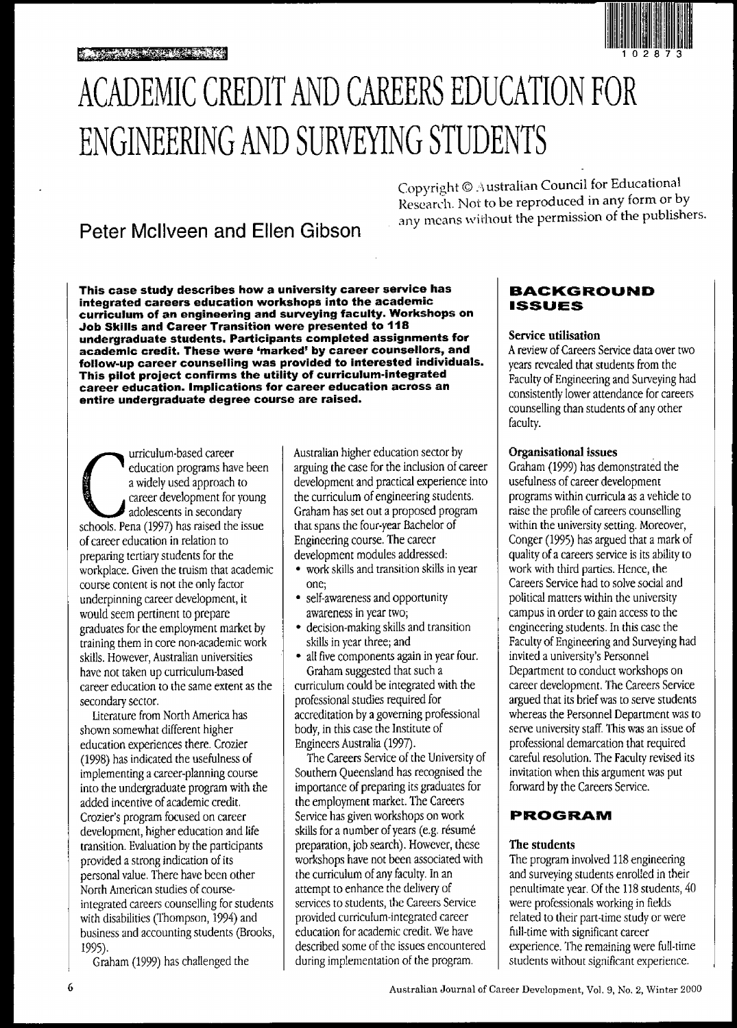

# ACADEMIC CREDIT AND CAREERS EDUCATION FOR ENGINEERING AND SURVEYING STUDENTS

# Peter Mcllveen and Ellen Gibson

Copyright ©.\ ustralian Council for Educational Research. Not to be reproduced in any form or by any means without the permission of the publishers.

This case study describes how a university career service has integrated careers education workshops into the academic curriculum of an engineering and surveying faCUlty. Workshops on Job Skills and Career Transition were presented to 118 undergraduate students. Participants completed assignments for academic credit. These were 'marked' by career counsellors, and follow-up career counselling was provided to interested individuals. This pilot project confirms the utility of curriculum-integrated career education. Implications for career education across an entire undergraduate degree course are raised.

urriculum-based career<br>education programs have bee<br>a widely used approach to<br>career development for young<br>adolescents in secondary<br>schools. Pena (1997) has raised the issue urriculum-based career education programs have been a widely used approach to career development for young adolescents in secondary of career education in relation to preparing tertiary students for the workplace. Given the truism that academic course content is not the only factor underpinning career development, it would seem pertinent to prepare graduates for the employment market by training them in core non-academic work skills. However, Australian universities have not taken up curriculum-based career education to the same extent as the secondary sector.

Literature from North America has shown somewhat different higher education experiences there. Crozier (1998) has indicated the usefulness of implementing a career-planning course into the undergraduate program with the added incentive of academic credit. Crozier's program focused on career development, higher education and life transition. Evaluation by the participants provided a strong indication of its personal value. There have beenother North American studies of courseintegrated careers counselling for students with disabilities (Thompson, 1994) and business and accounting students (Brooks, 1995).

Graham (1999) has challenged the

Australian higher education sector by arguing the case for the inclusion of career development and practical experience into the curriculum of engineering students. Graham has set out a proposed program that spans the four-year Bachelor of Engineering course. The career development modules addressed:

- work skills and transition skills in year one;
- self-awareness and opportunity awareness in year two;
- decision-making skills and transition skills inyear three; and
- all five components again in year four. Graham suggested that such a

curriculum could be integrated with the professional studies required for accreditation by a governing professional body, in this case the Institute of Engineers Australia (1997).

The Careers Service of the University of Southern Queensland has recognised the importance of preparing its graduates for the employment market. The Careers Service has given workshops on work skills for a number of years (e.g. résumé preparation, job search). However, these workshops have not been associated with the curriculum of any faculty. In an attempt to enhance the delivery of services to students, the Careers Service provided curriculum-integrated career education for academic credit. We have described some of the issues encountered during implementation of the program.

# **BACKGROUND ISSUES**

#### Service utilisation

A review of Careers Service data over two years revealed that students from the Faculty of Engineering and Surveying had consistently lower attendance for careers counselling than students of any other faculty.

#### Organisational issues

Graham (1999) has demonstrated the usefulness of career development programs within curricula as a vehicle to raise the profile of careers counselling within the university setting. Moreover, Conger (1995) has argued that a mark of quality of a careers service is its ability to work with third parties. Hence, the Careers Service had to solve social and political matters within the university campus in order to gain access to the engineering students. In this case the Faculty of Engineering and Surveying had invited a university's Personnel Department to conduct workshops on career development. The Careers Service argued that its brief was to serve students whereas the Personnel Department was to serve university staff. This was an issue of professional demarcation that required careful resolution. The Faculty revised its invitation when this argument was put forward by the Careers Service.

# **PROGRAM**

### The students

The program involved 118 engineering and surveying students enrolled in their penultimate year. Of the 118 students, 40 were professionals working in fields related to their part-time study or were full-time with significant career experience. The remaining were full-time students without significant experience.